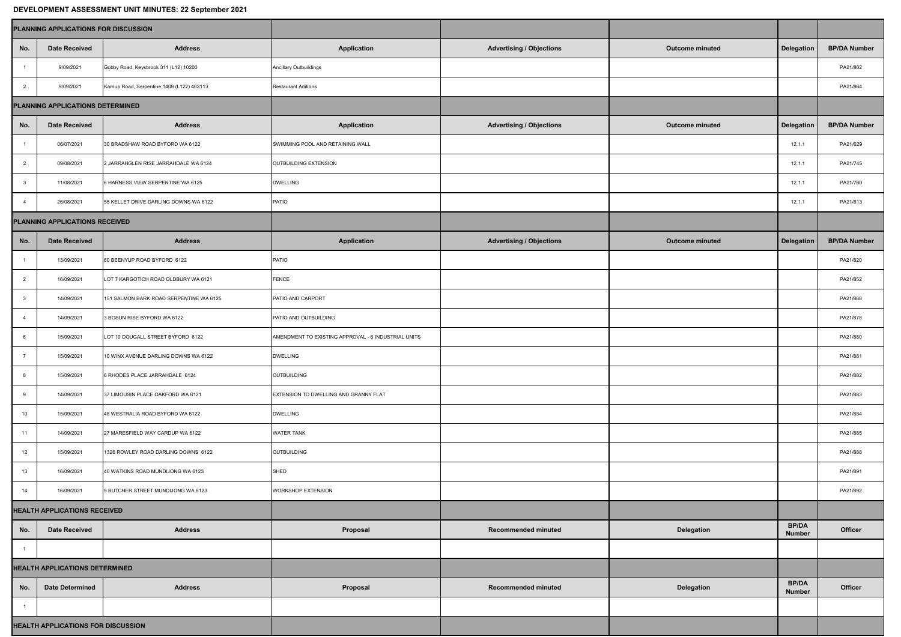## **DEVELOPMENT ASSESSMENT UNIT MINUTES: 22 September 2021**

| DEVELOI MENT AUULUUMENT UNIT MINUTEU. ZZ UEPIGIINGI ZUZT |                                           |                                            |                                                     |                                 |                        |                               |                     |  |  |  |  |  |
|----------------------------------------------------------|-------------------------------------------|--------------------------------------------|-----------------------------------------------------|---------------------------------|------------------------|-------------------------------|---------------------|--|--|--|--|--|
|                                                          | PLANNING APPLICATIONS FOR DISCUSSION      |                                            |                                                     |                                 |                        |                               |                     |  |  |  |  |  |
| No.                                                      | <b>Date Received</b>                      | <b>Address</b>                             | <b>Application</b>                                  | <b>Advertising / Objections</b> | <b>Outcome minuted</b> | Delegation                    | <b>BP/DA Number</b> |  |  |  |  |  |
|                                                          | 9/09/2021                                 | Gobby Road, Keysbrook 311 (L12) 10200      | <b>Ancillary Outbuildings</b>                       |                                 |                        |                               | PA21/862            |  |  |  |  |  |
|                                                          | 9/09/2021                                 | Karnup Road, Serpentine 1409 (L122) 402113 | <b>Restaurant Aditions</b>                          |                                 |                        |                               | PA21/864            |  |  |  |  |  |
| PLANNING APPLICATIONS DETERMINED                         |                                           |                                            |                                                     |                                 |                        |                               |                     |  |  |  |  |  |
| No.                                                      | <b>Date Received</b>                      | <b>Address</b>                             | <b>Application</b>                                  | <b>Advertising / Objections</b> | <b>Outcome minuted</b> | <b>Delegation</b>             | <b>BP/DA Number</b> |  |  |  |  |  |
|                                                          | 06/07/2021                                | 30 BRADSHAW ROAD BYFORD WA 6122            | SWIMMING POOL AND RETAINING WALL                    |                                 |                        | 12.1.1                        | PA21/629            |  |  |  |  |  |
|                                                          | 09/08/2021                                | 2 JARRAHGLEN RISE JARRAHDALE WA 6124       | OUTBUILDING EXTENSION                               |                                 |                        | 12.1.1                        | PA21/745            |  |  |  |  |  |
|                                                          | 11/08/2021                                | 6 HARNESS VIEW SERPENTINE WA 6125          | <b>DWELLING</b>                                     |                                 |                        | 12.1.1                        | PA21/760            |  |  |  |  |  |
|                                                          | 26/08/2021                                | 55 KELLET DRIVE DARLING DOWNS WA 6122      | PATIO                                               |                                 |                        | 12.1.1                        | PA21/813            |  |  |  |  |  |
| <b>PLANNING APPLICATIONS RECEIVED</b>                    |                                           |                                            |                                                     |                                 |                        |                               |                     |  |  |  |  |  |
| No.                                                      | <b>Date Received</b>                      | <b>Address</b>                             | <b>Application</b>                                  | <b>Advertising / Objections</b> | <b>Outcome minuted</b> | <b>Delegation</b>             | <b>BP/DA Number</b> |  |  |  |  |  |
|                                                          | 13/09/2021                                | 60 BEENYUP ROAD BYFORD 6122                | <b>PATIO</b>                                        |                                 |                        |                               | PA21/820            |  |  |  |  |  |
|                                                          | 16/09/2021                                | LOT 7 KARGOTICH ROAD OLDBURY WA 6121       | FENCE                                               |                                 |                        |                               | PA21/852            |  |  |  |  |  |
|                                                          | 14/09/2021                                | 151 SALMON BARK ROAD SERPENTINE WA 6125    | PATIO AND CARPORT                                   |                                 |                        |                               | PA21/868            |  |  |  |  |  |
|                                                          | 14/09/2021                                | 3 BOSUN RISE BYFORD WA 6122                | PATIO AND OUTBUILDING                               |                                 |                        |                               | PA21/878            |  |  |  |  |  |
|                                                          | 15/09/2021                                | LOT 10 DOUGALL STREET BYFORD 6122          | AMENDMENT TO EXISTING APPROVAL - 6 INDUSTRIAL UNITS |                                 |                        |                               | PA21/880            |  |  |  |  |  |
|                                                          | 15/09/2021                                | 10 WINX AVENUE DARLING DOWNS WA 6122       | <b>DWELLING</b>                                     |                                 |                        |                               | PA21/881            |  |  |  |  |  |
|                                                          | 15/09/2021                                | 6 RHODES PLACE JARRAHDALE 6124             | OUTBUILDING                                         |                                 |                        |                               | PA21/882            |  |  |  |  |  |
|                                                          | 14/09/2021                                | 37 LIMOUSIN PLACE OAKFORD WA 6121          | EXTENSION TO DWELLING AND GRANNY FLAT               |                                 |                        |                               | PA21/883            |  |  |  |  |  |
| 10                                                       | 15/09/2021                                | 48 WESTRALIA ROAD BYFORD WA 6122           | <b>DWELLING</b>                                     |                                 |                        |                               | PA21/884            |  |  |  |  |  |
| 11                                                       | 14/09/2021                                | 27 MARESFIELD WAY CARDUP WA 6122           | <b>WATER TANK</b>                                   |                                 |                        |                               | PA21/885            |  |  |  |  |  |
| 12                                                       | 15/09/2021                                | 1326 ROWLEY ROAD DARLING DOWNS 6122        | <b>OUTBUILDING</b>                                  |                                 |                        |                               | PA21/888            |  |  |  |  |  |
| 13                                                       | 16/09/2021                                | 40 WATKINS ROAD MUNDIJONG WA 6123          | SHED                                                |                                 |                        |                               | PA21/891            |  |  |  |  |  |
| 14                                                       | 16/09/2021                                | 9 BUTCHER STREET MUNDIJONG WA 6123         | <b>WORKSHOP EXTENSION</b>                           |                                 |                        |                               | PA21/892            |  |  |  |  |  |
| <b>HEALTH APPLICATIONS RECEIVED</b>                      |                                           |                                            |                                                     |                                 |                        |                               |                     |  |  |  |  |  |
| No.                                                      | <b>Date Received</b>                      | <b>Address</b>                             | Proposal                                            | <b>Recommended minuted</b>      | <b>Delegation</b>      | <b>BP/DA</b><br><b>Number</b> | <b>Officer</b>      |  |  |  |  |  |
|                                                          |                                           |                                            |                                                     |                                 |                        |                               |                     |  |  |  |  |  |
| <b>HEALTH APPLICATIONS DETERMINED</b>                    |                                           |                                            |                                                     |                                 |                        |                               |                     |  |  |  |  |  |
| No.                                                      | <b>Date Determined</b>                    | <b>Address</b>                             | Proposal                                            | Recommended minuted             | <b>Delegation</b>      | <b>BP/DA</b><br><b>Number</b> | <b>Officer</b>      |  |  |  |  |  |
|                                                          |                                           |                                            |                                                     |                                 |                        |                               |                     |  |  |  |  |  |
|                                                          | <b>HEALTH APPLICATIONS FOR DISCUSSION</b> |                                            |                                                     |                                 |                        |                               |                     |  |  |  |  |  |